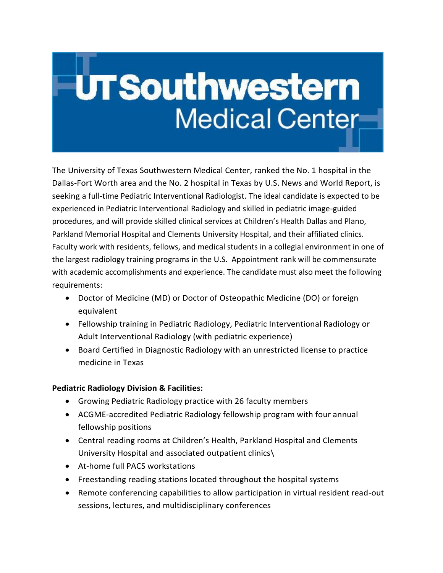# UTSouthwestern Medical Center

The University of Texas Southwestern Medical Center, ranked the No. 1 hospital in the Dallas-Fort Worth area and the No. 2 hospital in Texas by U.S. News and World Report, is seeking a full-time Pediatric Interventional Radiologist. The ideal candidate is expected to be experienced in Pediatric Interventional Radiology and skilled in pediatric image-guided procedures, and will provide skilled clinical services at Children's Health Dallas and Plano, Parkland Memorial Hospital and Clements University Hospital, and their affiliated clinics. Faculty work with residents, fellows, and medical students in a collegial environment in one of the largest radiology training programs in the U.S. Appointment rank will be commensurate with academic accomplishments and experience. The candidate must also meet the following requirements:

- Doctor of Medicine (MD) or Doctor of Osteopathic Medicine (DO) or foreign equivalent
- Fellowship training in Pediatric Radiology, Pediatric Interventional Radiology or Adult Interventional Radiology (with pediatric experience)
- Board Certified in Diagnostic Radiology with an unrestricted license to practice medicine in Texas

## **Pediatric Radiology Division & Facilities:**

- Growing Pediatric Radiology practice with 26 faculty members
- ACGME-accredited Pediatric Radiology fellowship program with four annual fellowship positions
- Central reading rooms at Children's Health, Parkland Hospital and Clements University Hospital and associated outpatient clinics\
- At-home full PACS workstations
- Freestanding reading stations located throughout the hospital systems
- Remote conferencing capabilities to allow participation in virtual resident read-out sessions, lectures, and multidisciplinary conferences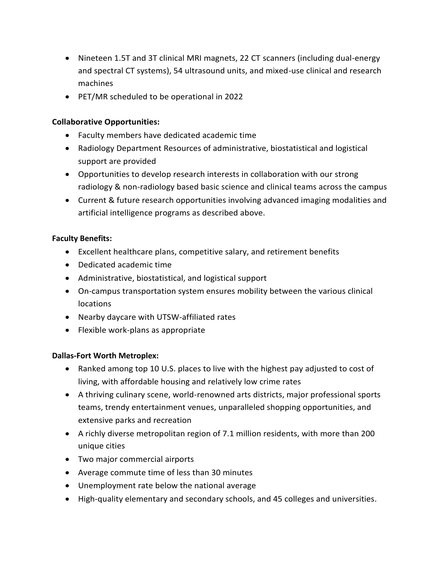- Nineteen 1.5T and 3T clinical MRI magnets, 22 CT scanners (including dual-energy and spectral CT systems), 54 ultrasound units, and mixed-use clinical and research machines
- PET/MR scheduled to be operational in 2022

### **Collaborative Opportunities:**

- Faculty members have dedicated academic time
- Radiology Department Resources of administrative, biostatistical and logistical support are provided
- Opportunities to develop research interests in collaboration with our strong radiology & non-radiology based basic science and clinical teams across the campus
- Current & future research opportunities involving advanced imaging modalities and artificial intelligence programs as described above.

### **Faculty Benefits:**

- Excellent healthcare plans, competitive salary, and retirement benefits
- Dedicated academic time
- Administrative, biostatistical, and logistical support
- On-campus transportation system ensures mobility between the various clinical locations
- Nearby daycare with UTSW-affiliated rates
- Flexible work-plans as appropriate

### **Dallas-Fort Worth Metroplex:**

- Ranked among top 10 U.S. places to live with the highest pay adjusted to cost of living, with affordable housing and relatively low crime rates
- A thriving culinary scene, world-renowned arts districts, major professional sports teams, trendy entertainment venues, unparalleled shopping opportunities, and extensive parks and recreation
- A richly diverse metropolitan region of 7.1 million residents, with more than 200 unique cities
- Two major commercial airports
- Average commute time of less than 30 minutes
- Unemployment rate below the national average
- High-quality elementary and secondary schools, and 45 colleges and universities.